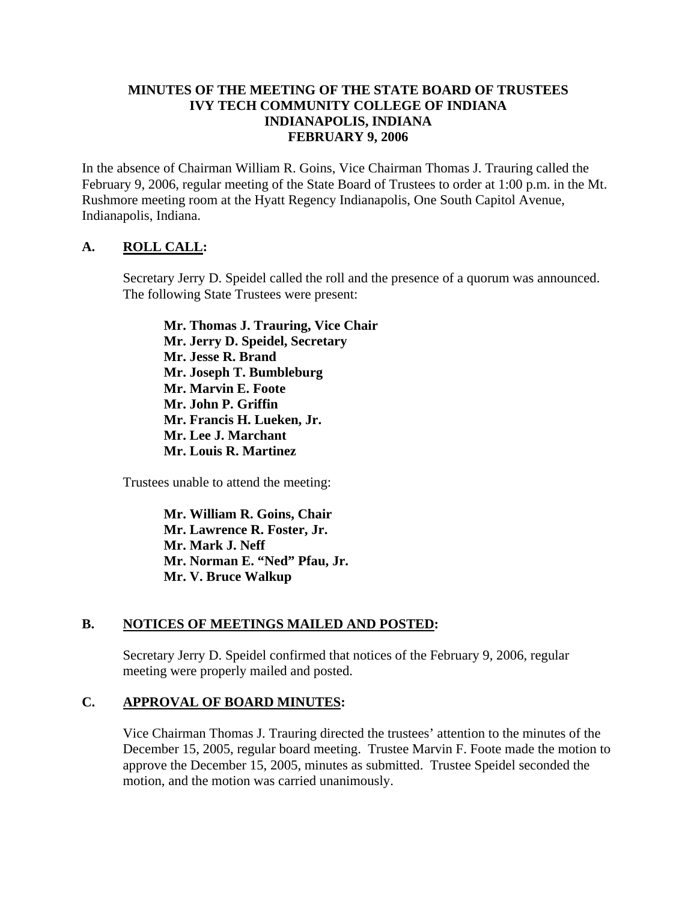#### **MINUTES OF THE MEETING OF THE STATE BOARD OF TRUSTEES IVY TECH COMMUNITY COLLEGE OF INDIANA INDIANAPOLIS, INDIANA FEBRUARY 9, 2006**

In the absence of Chairman William R. Goins, Vice Chairman Thomas J. Trauring called the February 9, 2006, regular meeting of the State Board of Trustees to order at 1:00 p.m. in the Mt. Rushmore meeting room at the Hyatt Regency Indianapolis, One South Capitol Avenue, Indianapolis, Indiana.

#### **A. ROLL CALL:**

Secretary Jerry D. Speidel called the roll and the presence of a quorum was announced. The following State Trustees were present:

**Mr. Thomas J. Trauring, Vice Chair Mr. Jerry D. Speidel, Secretary Mr. Jesse R. Brand Mr. Joseph T. Bumbleburg Mr. Marvin E. Foote Mr. John P. Griffin Mr. Francis H. Lueken, Jr. Mr. Lee J. Marchant Mr. Louis R. Martinez** 

Trustees unable to attend the meeting:

**Mr. William R. Goins, Chair Mr. Lawrence R. Foster, Jr. Mr. Mark J. Neff Mr. Norman E. "Ned" Pfau, Jr. Mr. V. Bruce Walkup** 

## **B. NOTICES OF MEETINGS MAILED AND POSTED:**

Secretary Jerry D. Speidel confirmed that notices of the February 9, 2006, regular meeting were properly mailed and posted.

## **C. APPROVAL OF BOARD MINUTES:**

Vice Chairman Thomas J. Trauring directed the trustees' attention to the minutes of the December 15, 2005, regular board meeting. Trustee Marvin F. Foote made the motion to approve the December 15, 2005, minutes as submitted. Trustee Speidel seconded the motion, and the motion was carried unanimously.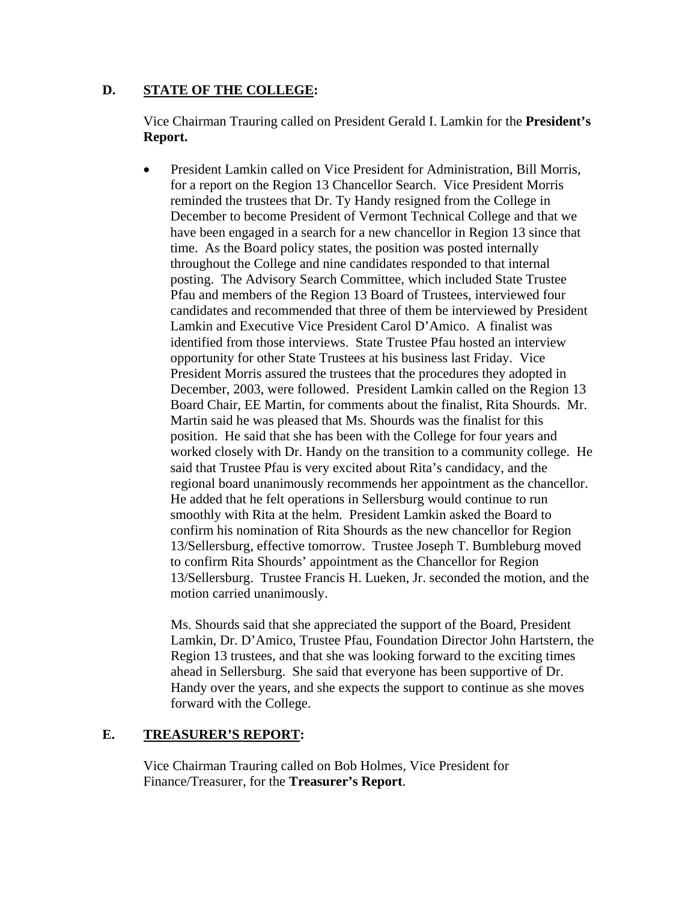#### **D. STATE OF THE COLLEGE:**

Vice Chairman Trauring called on President Gerald I. Lamkin for the **President's Report.**

• President Lamkin called on Vice President for Administration, Bill Morris, for a report on the Region 13 Chancellor Search. Vice President Morris reminded the trustees that Dr. Ty Handy resigned from the College in December to become President of Vermont Technical College and that we have been engaged in a search for a new chancellor in Region 13 since that time. As the Board policy states, the position was posted internally throughout the College and nine candidates responded to that internal posting. The Advisory Search Committee, which included State Trustee Pfau and members of the Region 13 Board of Trustees, interviewed four candidates and recommended that three of them be interviewed by President Lamkin and Executive Vice President Carol D'Amico. A finalist was identified from those interviews. State Trustee Pfau hosted an interview opportunity for other State Trustees at his business last Friday. Vice President Morris assured the trustees that the procedures they adopted in December, 2003, were followed. President Lamkin called on the Region 13 Board Chair, EE Martin, for comments about the finalist, Rita Shourds. Mr. Martin said he was pleased that Ms. Shourds was the finalist for this position. He said that she has been with the College for four years and worked closely with Dr. Handy on the transition to a community college. He said that Trustee Pfau is very excited about Rita's candidacy, and the regional board unanimously recommends her appointment as the chancellor. He added that he felt operations in Sellersburg would continue to run smoothly with Rita at the helm. President Lamkin asked the Board to confirm his nomination of Rita Shourds as the new chancellor for Region 13/Sellersburg, effective tomorrow. Trustee Joseph T. Bumbleburg moved to confirm Rita Shourds' appointment as the Chancellor for Region 13/Sellersburg. Trustee Francis H. Lueken, Jr. seconded the motion, and the motion carried unanimously.

Ms. Shourds said that she appreciated the support of the Board, President Lamkin, Dr. D'Amico, Trustee Pfau, Foundation Director John Hartstern, the Region 13 trustees, and that she was looking forward to the exciting times ahead in Sellersburg. She said that everyone has been supportive of Dr. Handy over the years, and she expects the support to continue as she moves forward with the College.

## **E. TREASURER'S REPORT:**

Vice Chairman Trauring called on Bob Holmes, Vice President for Finance/Treasurer, for the **Treasurer's Report**.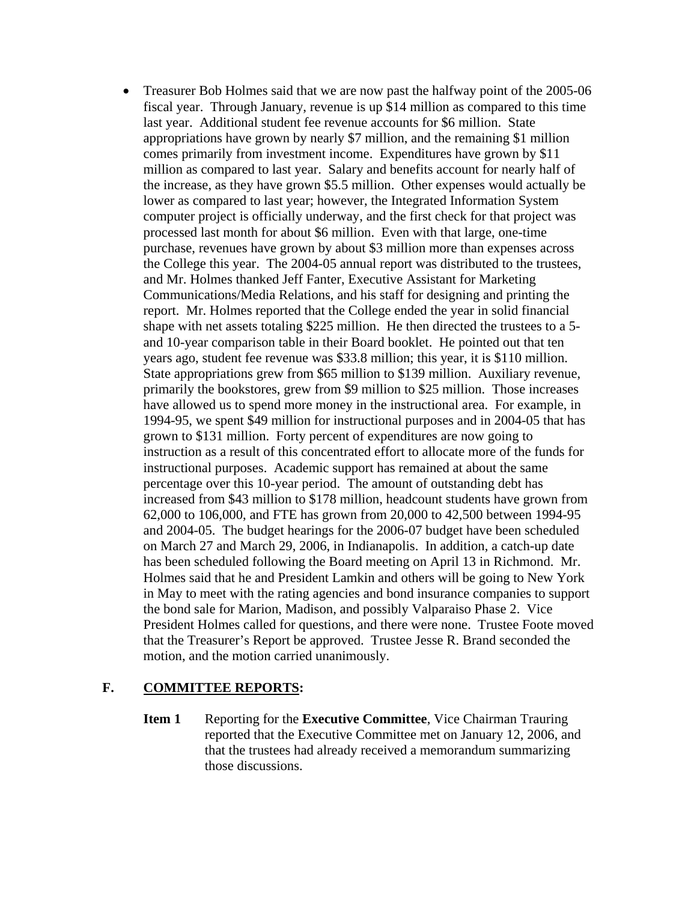• Treasurer Bob Holmes said that we are now past the halfway point of the 2005-06 fiscal year. Through January, revenue is up \$14 million as compared to this time last year. Additional student fee revenue accounts for \$6 million. State appropriations have grown by nearly \$7 million, and the remaining \$1 million comes primarily from investment income. Expenditures have grown by \$11 million as compared to last year. Salary and benefits account for nearly half of the increase, as they have grown \$5.5 million. Other expenses would actually be lower as compared to last year; however, the Integrated Information System computer project is officially underway, and the first check for that project was processed last month for about \$6 million. Even with that large, one-time purchase, revenues have grown by about \$3 million more than expenses across the College this year. The 2004-05 annual report was distributed to the trustees, and Mr. Holmes thanked Jeff Fanter, Executive Assistant for Marketing Communications/Media Relations, and his staff for designing and printing the report. Mr. Holmes reported that the College ended the year in solid financial shape with net assets totaling \$225 million. He then directed the trustees to a 5 and 10-year comparison table in their Board booklet. He pointed out that ten years ago, student fee revenue was \$33.8 million; this year, it is \$110 million. State appropriations grew from \$65 million to \$139 million. Auxiliary revenue, primarily the bookstores, grew from \$9 million to \$25 million. Those increases have allowed us to spend more money in the instructional area. For example, in 1994-95, we spent \$49 million for instructional purposes and in 2004-05 that has grown to \$131 million. Forty percent of expenditures are now going to instruction as a result of this concentrated effort to allocate more of the funds for instructional purposes. Academic support has remained at about the same percentage over this 10-year period. The amount of outstanding debt has increased from \$43 million to \$178 million, headcount students have grown from 62,000 to 106,000, and FTE has grown from 20,000 to 42,500 between 1994-95 and 2004-05. The budget hearings for the 2006-07 budget have been scheduled on March 27 and March 29, 2006, in Indianapolis. In addition, a catch-up date has been scheduled following the Board meeting on April 13 in Richmond. Mr. Holmes said that he and President Lamkin and others will be going to New York in May to meet with the rating agencies and bond insurance companies to support the bond sale for Marion, Madison, and possibly Valparaiso Phase 2. Vice President Holmes called for questions, and there were none. Trustee Foote moved that the Treasurer's Report be approved. Trustee Jesse R. Brand seconded the motion, and the motion carried unanimously.

## **F. COMMITTEE REPORTS:**

**Item 1** Reporting for the **Executive Committee**, Vice Chairman Trauring reported that the Executive Committee met on January 12, 2006, and that the trustees had already received a memorandum summarizing those discussions.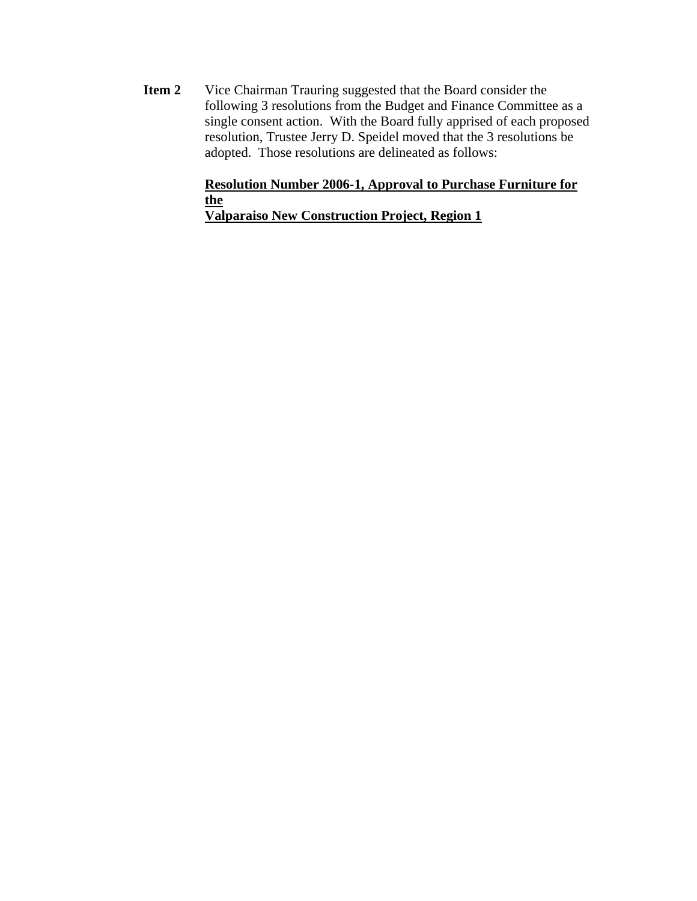**Item 2** Vice Chairman Trauring suggested that the Board consider the following 3 resolutions from the Budget and Finance Committee as a single consent action. With the Board fully apprised of each proposed resolution, Trustee Jerry D. Speidel moved that the 3 resolutions be adopted. Those resolutions are delineated as follows:

# **Resolution Number 2006-1, Approval to Purchase Furniture for the**

**Valparaiso New Construction Project, Region 1**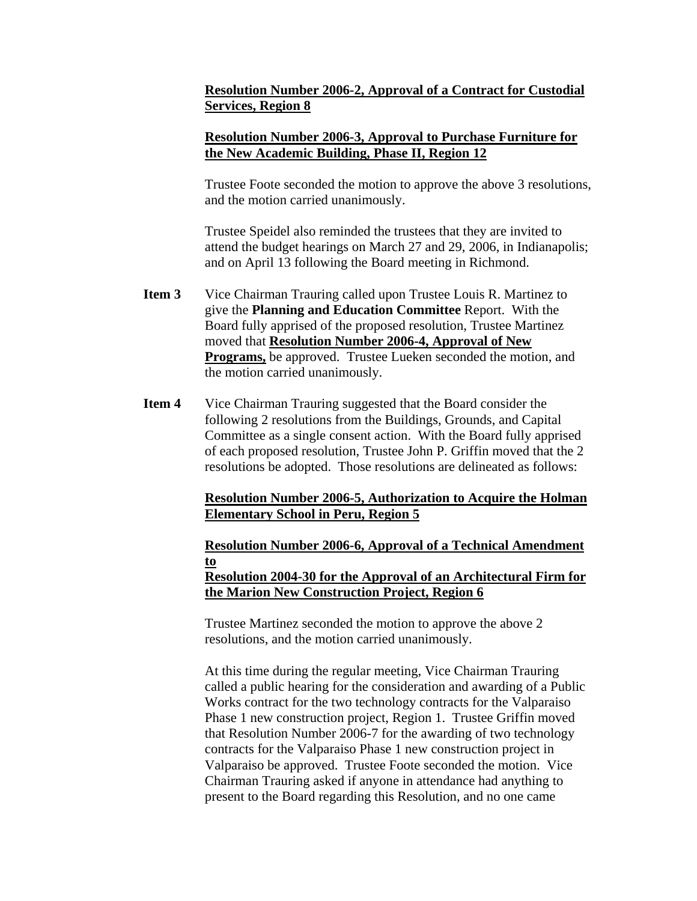## **Resolution Number 2006-2, Approval of a Contract for Custodial Services, Region 8**

## **Resolution Number 2006-3, Approval to Purchase Furniture for the New Academic Building, Phase II, Region 12**

Trustee Foote seconded the motion to approve the above 3 resolutions, and the motion carried unanimously.

Trustee Speidel also reminded the trustees that they are invited to attend the budget hearings on March 27 and 29, 2006, in Indianapolis; and on April 13 following the Board meeting in Richmond.

- **Item 3** Vice Chairman Trauring called upon Trustee Louis R. Martinez to give the **Planning and Education Committee** Report. With the Board fully apprised of the proposed resolution, Trustee Martinez moved that **Resolution Number 2006-4, Approval of New Programs,** be approved. Trustee Lueken seconded the motion, and the motion carried unanimously.
- **Item 4** Vice Chairman Trauring suggested that the Board consider the following 2 resolutions from the Buildings, Grounds, and Capital Committee as a single consent action. With the Board fully apprised of each proposed resolution, Trustee John P. Griffin moved that the 2 resolutions be adopted. Those resolutions are delineated as follows:

# **Resolution Number 2006-5, Authorization to Acquire the Holman Elementary School in Peru, Region 5**

#### **Resolution Number 2006-6, Approval of a Technical Amendment to Resolution 2004-30 for the Approval of an Architectural Firm for the Marion New Construction Project, Region 6**

Trustee Martinez seconded the motion to approve the above 2 resolutions, and the motion carried unanimously.

At this time during the regular meeting, Vice Chairman Trauring called a public hearing for the consideration and awarding of a Public Works contract for the two technology contracts for the Valparaiso Phase 1 new construction project, Region 1. Trustee Griffin moved that Resolution Number 2006-7 for the awarding of two technology contracts for the Valparaiso Phase 1 new construction project in Valparaiso be approved. Trustee Foote seconded the motion. Vice Chairman Trauring asked if anyone in attendance had anything to present to the Board regarding this Resolution, and no one came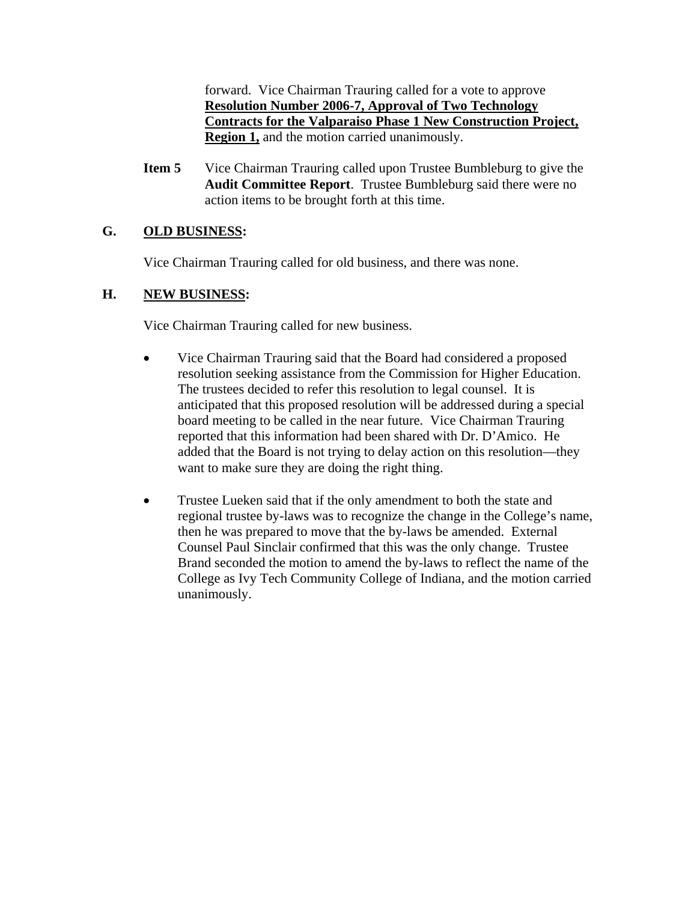forward. Vice Chairman Trauring called for a vote to approve **Resolution Number 2006-7, Approval of Two Technology Contracts for the Valparaiso Phase 1 New Construction Project, Region 1,** and the motion carried unanimously.

**Item 5** Vice Chairman Trauring called upon Trustee Bumbleburg to give the **Audit Committee Report**. Trustee Bumbleburg said there were no action items to be brought forth at this time.

# **G. OLD BUSINESS:**

Vice Chairman Trauring called for old business, and there was none.

# **H. NEW BUSINESS:**

Vice Chairman Trauring called for new business.

- Vice Chairman Trauring said that the Board had considered a proposed resolution seeking assistance from the Commission for Higher Education. The trustees decided to refer this resolution to legal counsel. It is anticipated that this proposed resolution will be addressed during a special board meeting to be called in the near future. Vice Chairman Trauring reported that this information had been shared with Dr. D'Amico. He added that the Board is not trying to delay action on this resolution—they want to make sure they are doing the right thing.
- Trustee Lueken said that if the only amendment to both the state and regional trustee by-laws was to recognize the change in the College's name, then he was prepared to move that the by-laws be amended. External Counsel Paul Sinclair confirmed that this was the only change. Trustee Brand seconded the motion to amend the by-laws to reflect the name of the College as Ivy Tech Community College of Indiana, and the motion carried unanimously.